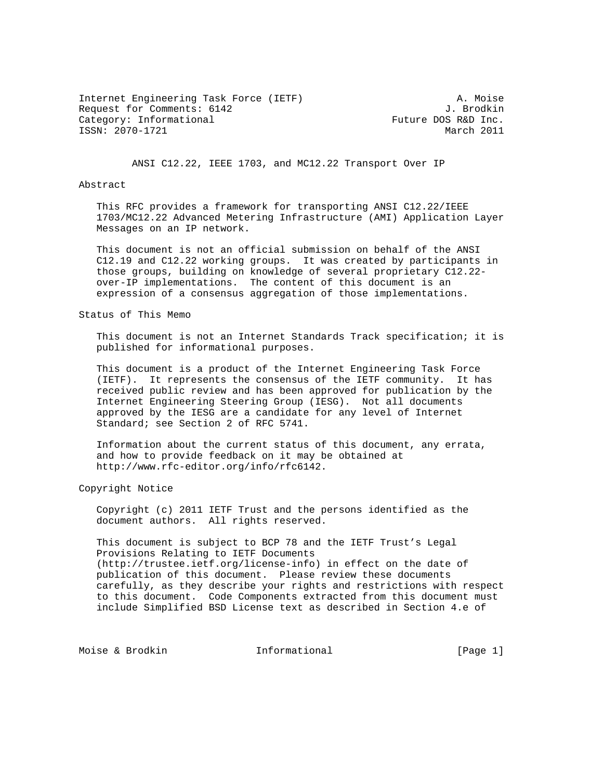Internet Engineering Task Force (IETF) A. Moise Request for Comments: 6142 J. Brodkin<br>Category: Informational and Superversion of Future DOS R&D Inc. Category: Informational ISSN: 2070-1721 March 2011

ANSI C12.22, IEEE 1703, and MC12.22 Transport Over IP

## Abstract

 This RFC provides a framework for transporting ANSI C12.22/IEEE 1703/MC12.22 Advanced Metering Infrastructure (AMI) Application Layer Messages on an IP network.

 This document is not an official submission on behalf of the ANSI C12.19 and C12.22 working groups. It was created by participants in those groups, building on knowledge of several proprietary C12.22 over-IP implementations. The content of this document is an expression of a consensus aggregation of those implementations.

Status of This Memo

 This document is not an Internet Standards Track specification; it is published for informational purposes.

 This document is a product of the Internet Engineering Task Force (IETF). It represents the consensus of the IETF community. It has received public review and has been approved for publication by the Internet Engineering Steering Group (IESG). Not all documents approved by the IESG are a candidate for any level of Internet Standard; see Section 2 of RFC 5741.

 Information about the current status of this document, any errata, and how to provide feedback on it may be obtained at http://www.rfc-editor.org/info/rfc6142.

Copyright Notice

 Copyright (c) 2011 IETF Trust and the persons identified as the document authors. All rights reserved.

 This document is subject to BCP 78 and the IETF Trust's Legal Provisions Relating to IETF Documents (http://trustee.ietf.org/license-info) in effect on the date of publication of this document. Please review these documents carefully, as they describe your rights and restrictions with respect to this document. Code Components extracted from this document must include Simplified BSD License text as described in Section 4.e of

Moise & Brodkin **Informational** [Page 1]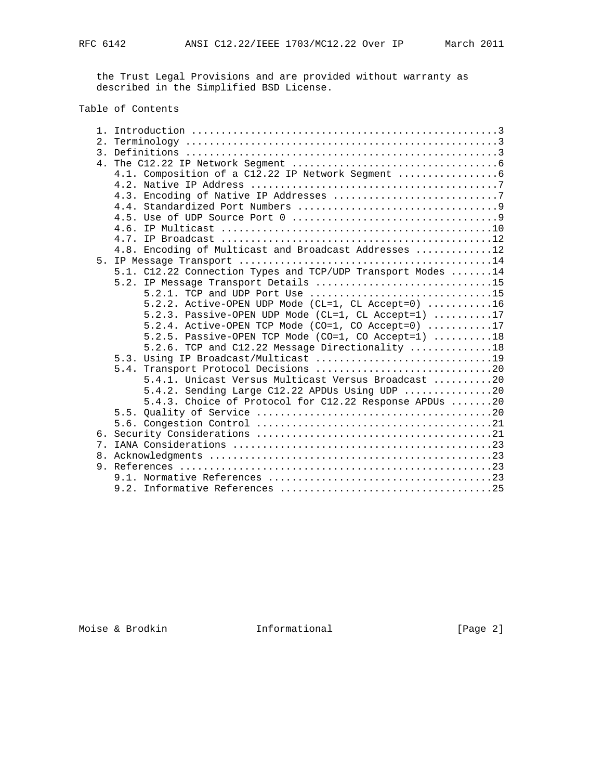the Trust Legal Provisions and are provided without warranty as described in the Simplified BSD License.

# Table of Contents

| $\mathcal{E}$ |                                                                     |
|---------------|---------------------------------------------------------------------|
|               |                                                                     |
|               |                                                                     |
|               |                                                                     |
|               |                                                                     |
|               |                                                                     |
|               |                                                                     |
|               |                                                                     |
|               |                                                                     |
|               | 4.8. Encoding of Multicast and Broadcast Addresses 12               |
|               |                                                                     |
|               | 5.1. C12.22 Connection Types and TCP/UDP Transport Modes 14         |
|               | 5.2. IP Message Transport Details 15                                |
|               | 5.2.1. TCP and UDP Port Use 15                                      |
|               | 5.2.2. Active-OPEN UDP Mode (CL=1, CL Accept=0) $\dots\dots\dots16$ |
|               | 5.2.3. Passive-OPEN UDP Mode (CL=1, CL Accept=1) 17                 |
|               | 5.2.4. Active-OPEN TCP Mode (CO=1, CO Accept=0) 17                  |
|               | 5.2.5. Passive-OPEN TCP Mode (CO=1, CO Accept=1) 18                 |
|               | 5.2.6. TCP and C12.22 Message Directionality 18                     |
|               |                                                                     |
|               |                                                                     |
|               | 5.4.1. Unicast Versus Multicast Versus Broadcast 20                 |
|               | 5.4.2. Sending Large C12.22 APDUs Using UDP 20                      |
|               | 5.4.3. Choice of Protocol for C12.22 Response APDUs 20              |
|               |                                                                     |
|               |                                                                     |
|               |                                                                     |
|               |                                                                     |
|               |                                                                     |
|               |                                                                     |
|               |                                                                     |
|               |                                                                     |

Moise & Brodkin **Informational** [Page 2]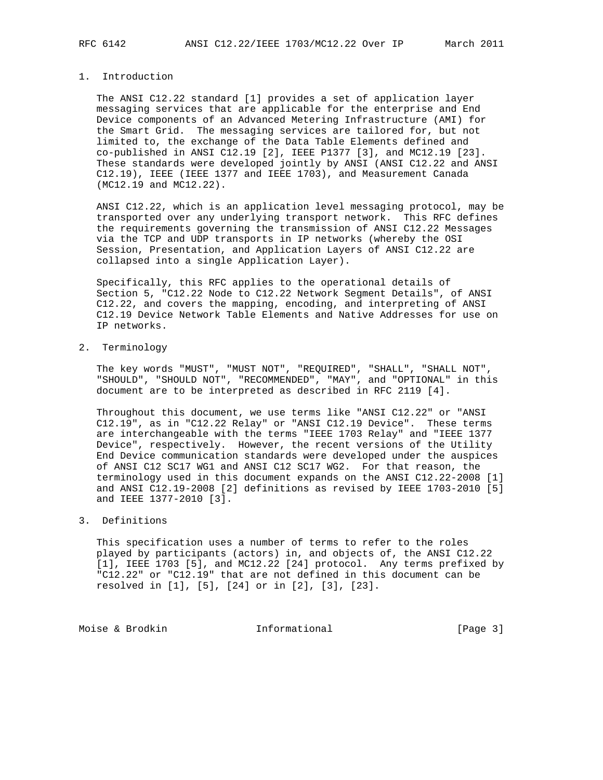# 1. Introduction

 The ANSI C12.22 standard [1] provides a set of application layer messaging services that are applicable for the enterprise and End Device components of an Advanced Metering Infrastructure (AMI) for the Smart Grid. The messaging services are tailored for, but not limited to, the exchange of the Data Table Elements defined and co-published in ANSI C12.19 [2], IEEE P1377 [3], and MC12.19 [23]. These standards were developed jointly by ANSI (ANSI C12.22 and ANSI C12.19), IEEE (IEEE 1377 and IEEE 1703), and Measurement Canada (MC12.19 and MC12.22).

 ANSI C12.22, which is an application level messaging protocol, may be transported over any underlying transport network. This RFC defines the requirements governing the transmission of ANSI C12.22 Messages via the TCP and UDP transports in IP networks (whereby the OSI Session, Presentation, and Application Layers of ANSI C12.22 are collapsed into a single Application Layer).

 Specifically, this RFC applies to the operational details of Section 5, "C12.22 Node to C12.22 Network Segment Details", of ANSI C12.22, and covers the mapping, encoding, and interpreting of ANSI C12.19 Device Network Table Elements and Native Addresses for use on IP networks.

2. Terminology

 The key words "MUST", "MUST NOT", "REQUIRED", "SHALL", "SHALL NOT", "SHOULD", "SHOULD NOT", "RECOMMENDED", "MAY", and "OPTIONAL" in this document are to be interpreted as described in RFC 2119 [4].

 Throughout this document, we use terms like "ANSI C12.22" or "ANSI C12.19", as in "C12.22 Relay" or "ANSI C12.19 Device". These terms are interchangeable with the terms "IEEE 1703 Relay" and "IEEE 1377 Device", respectively. However, the recent versions of the Utility End Device communication standards were developed under the auspices of ANSI C12 SC17 WG1 and ANSI C12 SC17 WG2. For that reason, the terminology used in this document expands on the ANSI C12.22-2008 [1] and ANSI C12.19-2008 [2] definitions as revised by IEEE 1703-2010 [5] and IEEE 1377-2010 [3].

## 3. Definitions

 This specification uses a number of terms to refer to the roles played by participants (actors) in, and objects of, the ANSI C12.22 [1], IEEE 1703 [5], and MC12.22 [24] protocol. Any terms prefixed by "C12.22" or "C12.19" that are not defined in this document can be resolved in [1], [5], [24] or in [2], [3], [23].

Moise & Brodkin **Informational** [Page 3]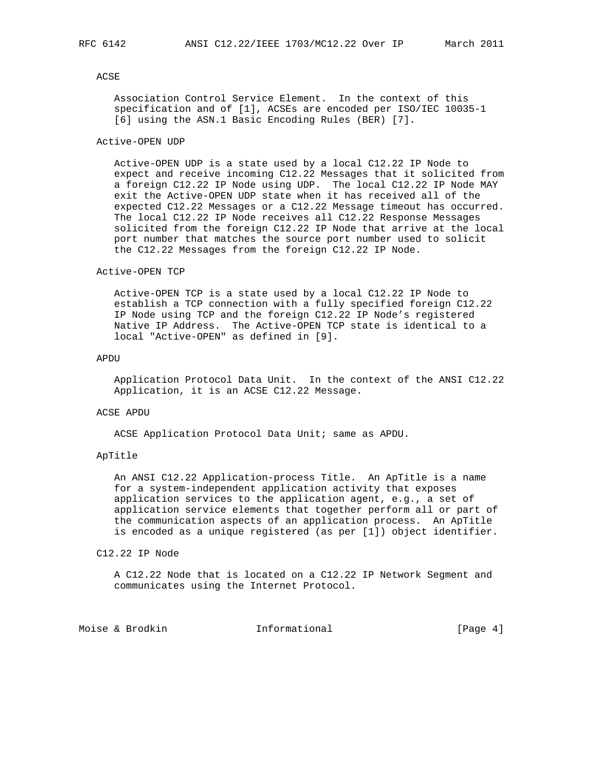# ACSE

 Association Control Service Element. In the context of this specification and of [1], ACSEs are encoded per ISO/IEC 10035-1 [6] using the ASN.1 Basic Encoding Rules (BER) [7].

## Active-OPEN UDP

 Active-OPEN UDP is a state used by a local C12.22 IP Node to expect and receive incoming C12.22 Messages that it solicited from a foreign C12.22 IP Node using UDP. The local C12.22 IP Node MAY exit the Active-OPEN UDP state when it has received all of the expected C12.22 Messages or a C12.22 Message timeout has occurred. The local C12.22 IP Node receives all C12.22 Response Messages solicited from the foreign C12.22 IP Node that arrive at the local port number that matches the source port number used to solicit the C12.22 Messages from the foreign C12.22 IP Node.

## Active-OPEN TCP

 Active-OPEN TCP is a state used by a local C12.22 IP Node to establish a TCP connection with a fully specified foreign C12.22 IP Node using TCP and the foreign C12.22 IP Node's registered Native IP Address. The Active-OPEN TCP state is identical to a local "Active-OPEN" as defined in [9].

## APDU

 Application Protocol Data Unit. In the context of the ANSI C12.22 Application, it is an ACSE C12.22 Message.

### ACSE APDU

ACSE Application Protocol Data Unit; same as APDU.

## ApTitle

 An ANSI C12.22 Application-process Title. An ApTitle is a name for a system-independent application activity that exposes application services to the application agent, e.g., a set of application service elements that together perform all or part of the communication aspects of an application process. An ApTitle is encoded as a unique registered (as per [1]) object identifier.

## C12.22 IP Node

 A C12.22 Node that is located on a C12.22 IP Network Segment and communicates using the Internet Protocol.

Moise & Brodkin **Informational** [Page 4]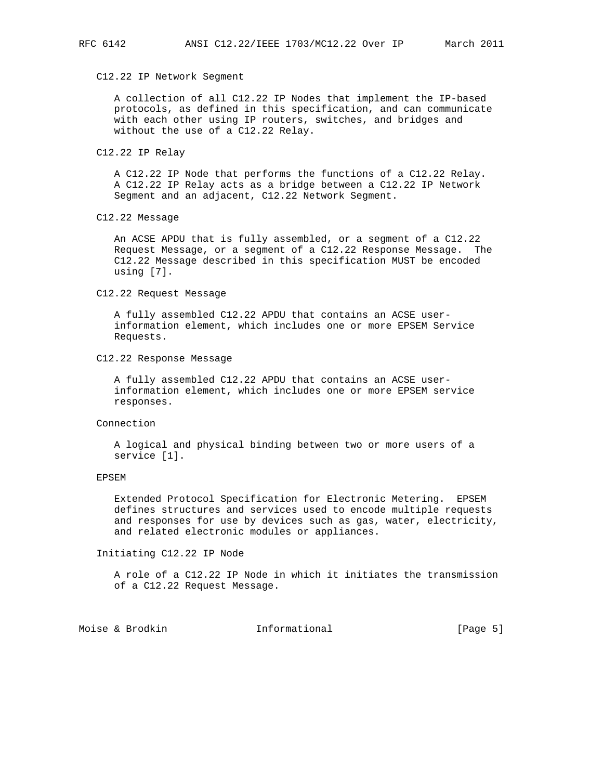#### C12.22 IP Network Segment

 A collection of all C12.22 IP Nodes that implement the IP-based protocols, as defined in this specification, and can communicate with each other using IP routers, switches, and bridges and without the use of a C12.22 Relay.

## C12.22 IP Relay

 A C12.22 IP Node that performs the functions of a C12.22 Relay. A C12.22 IP Relay acts as a bridge between a C12.22 IP Network Segment and an adjacent, C12.22 Network Segment.

## C12.22 Message

 An ACSE APDU that is fully assembled, or a segment of a C12.22 Request Message, or a segment of a C12.22 Response Message. The C12.22 Message described in this specification MUST be encoded using [7].

#### C12.22 Request Message

 A fully assembled C12.22 APDU that contains an ACSE user information element, which includes one or more EPSEM Service Requests.

#### C12.22 Response Message

 A fully assembled C12.22 APDU that contains an ACSE user information element, which includes one or more EPSEM service responses.

#### Connection

 A logical and physical binding between two or more users of a service [1].

#### EPSEM

 Extended Protocol Specification for Electronic Metering. EPSEM defines structures and services used to encode multiple requests and responses for use by devices such as gas, water, electricity, and related electronic modules or appliances.

#### Initiating C12.22 IP Node

 A role of a C12.22 IP Node in which it initiates the transmission of a C12.22 Request Message.

Moise & Brodkin **Informational** [Page 5]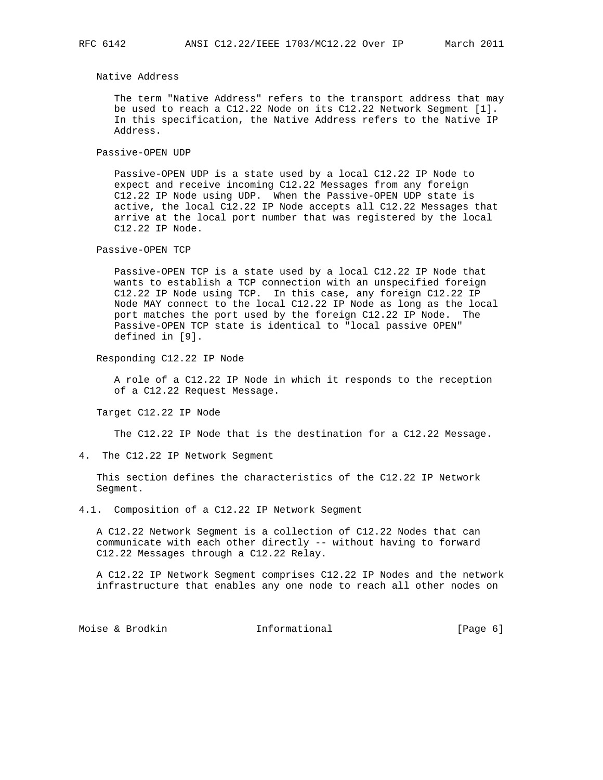Native Address

 The term "Native Address" refers to the transport address that may be used to reach a C12.22 Node on its C12.22 Network Segment [1]. In this specification, the Native Address refers to the Native IP Address.

Passive-OPEN UDP

 Passive-OPEN UDP is a state used by a local C12.22 IP Node to expect and receive incoming C12.22 Messages from any foreign C12.22 IP Node using UDP. When the Passive-OPEN UDP state is active, the local C12.22 IP Node accepts all C12.22 Messages that arrive at the local port number that was registered by the local C12.22 IP Node.

Passive-OPEN TCP

 Passive-OPEN TCP is a state used by a local C12.22 IP Node that wants to establish a TCP connection with an unspecified foreign C12.22 IP Node using TCP. In this case, any foreign C12.22 IP Node MAY connect to the local C12.22 IP Node as long as the local port matches the port used by the foreign C12.22 IP Node. The Passive-OPEN TCP state is identical to "local passive OPEN" defined in [9].

Responding C12.22 IP Node

 A role of a C12.22 IP Node in which it responds to the reception of a C12.22 Request Message.

Target C12.22 IP Node

The C12.22 IP Node that is the destination for a C12.22 Message.

4. The C12.22 IP Network Segment

 This section defines the characteristics of the C12.22 IP Network Segment.

4.1. Composition of a C12.22 IP Network Segment

 A C12.22 Network Segment is a collection of C12.22 Nodes that can communicate with each other directly -- without having to forward C12.22 Messages through a C12.22 Relay.

 A C12.22 IP Network Segment comprises C12.22 IP Nodes and the network infrastructure that enables any one node to reach all other nodes on

Moise & Brodkin **Informational** [Page 6]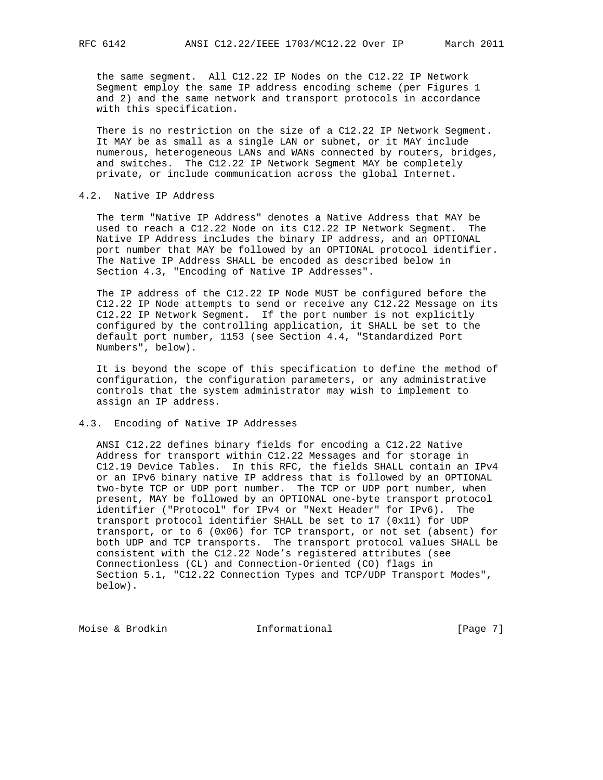the same segment. All C12.22 IP Nodes on the C12.22 IP Network Segment employ the same IP address encoding scheme (per Figures 1 and 2) and the same network and transport protocols in accordance with this specification.

 There is no restriction on the size of a C12.22 IP Network Segment. It MAY be as small as a single LAN or subnet, or it MAY include numerous, heterogeneous LANs and WANs connected by routers, bridges, and switches. The C12.22 IP Network Segment MAY be completely private, or include communication across the global Internet.

# 4.2. Native IP Address

 The term "Native IP Address" denotes a Native Address that MAY be used to reach a C12.22 Node on its C12.22 IP Network Segment. The Native IP Address includes the binary IP address, and an OPTIONAL port number that MAY be followed by an OPTIONAL protocol identifier. The Native IP Address SHALL be encoded as described below in Section 4.3, "Encoding of Native IP Addresses".

 The IP address of the C12.22 IP Node MUST be configured before the C12.22 IP Node attempts to send or receive any C12.22 Message on its C12.22 IP Network Segment. If the port number is not explicitly configured by the controlling application, it SHALL be set to the default port number, 1153 (see Section 4.4, "Standardized Port Numbers", below).

 It is beyond the scope of this specification to define the method of configuration, the configuration parameters, or any administrative controls that the system administrator may wish to implement to assign an IP address.

## 4.3. Encoding of Native IP Addresses

 ANSI C12.22 defines binary fields for encoding a C12.22 Native Address for transport within C12.22 Messages and for storage in C12.19 Device Tables. In this RFC, the fields SHALL contain an IPv4 or an IPv6 binary native IP address that is followed by an OPTIONAL two-byte TCP or UDP port number. The TCP or UDP port number, when present, MAY be followed by an OPTIONAL one-byte transport protocol identifier ("Protocol" for IPv4 or "Next Header" for IPv6). The transport protocol identifier SHALL be set to 17 (0x11) for UDP transport, or to 6 (0x06) for TCP transport, or not set (absent) for both UDP and TCP transports. The transport protocol values SHALL be consistent with the C12.22 Node's registered attributes (see Connectionless (CL) and Connection-Oriented (CO) flags in Section 5.1, "C12.22 Connection Types and TCP/UDP Transport Modes", below).

Moise & Brodkin **Informational** [Page 7]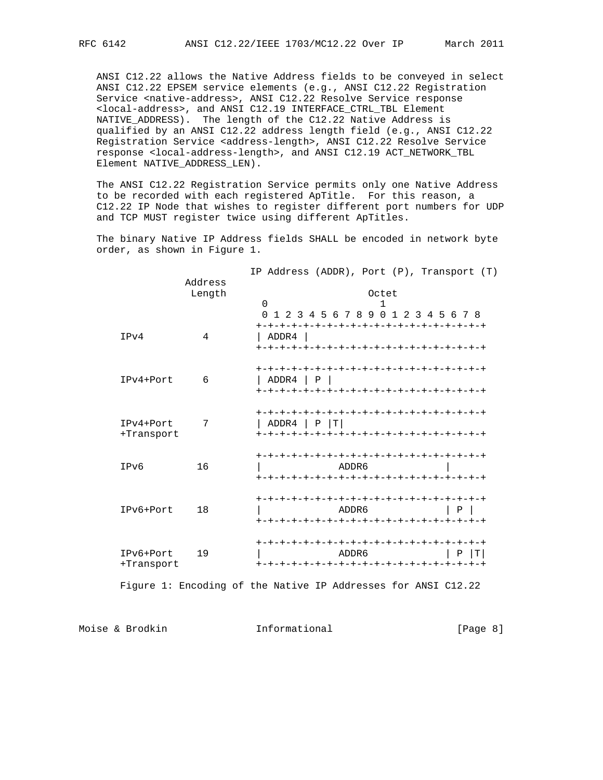ANSI C12.22 allows the Native Address fields to be conveyed in select ANSI C12.22 EPSEM service elements (e.g., ANSI C12.22 Registration Service <native-address>, ANSI C12.22 Resolve Service response <local-address>, and ANSI C12.19 INTERFACE\_CTRL\_TBL Element NATIVE\_ADDRESS). The length of the C12.22 Native Address is qualified by an ANSI C12.22 address length field (e.g., ANSI C12.22 Registration Service <address-length>, ANSI C12.22 Resolve Service response <local-address-length>, and ANSI C12.19 ACT\_NETWORK\_TBL Element NATIVE\_ADDRESS\_LEN).

 The ANSI C12.22 Registration Service permits only one Native Address to be recorded with each registered ApTitle. For this reason, a C12.22 IP Node that wishes to register different port numbers for UDP and TCP MUST register twice using different ApTitles.

 The binary Native IP Address fields SHALL be encoded in network byte order, as shown in Figure 1.

| Length<br>Octet<br>$\Omega$<br>1<br>2 3 4 5 6 7 8 9 0 1 2 3 4 5 6 7 8<br>$\Omega$<br>4<br>IPv4<br>ADDR4<br>IPv4+Port<br>6<br>ADDR4 P<br>ADDR4 $  P   T  $<br>IPv4+Port<br>7<br>+Transport<br>16<br>IPv6<br>ADDR6<br>-+-+-+-+-+-+-+-+-+-+-+-+-+-+-+-+-+-+<br>IPv6+Port<br>18<br>ADDR6<br>l P<br>IPv6+Port<br>19<br>ADDR6<br>т<br>Ρ<br>+Transport |  |         | IP Address (ADDR), Port $(P)$ , Transport $(T)$ |
|-------------------------------------------------------------------------------------------------------------------------------------------------------------------------------------------------------------------------------------------------------------------------------------------------------------------------------------------------|--|---------|-------------------------------------------------|
|                                                                                                                                                                                                                                                                                                                                                 |  | Address |                                                 |
|                                                                                                                                                                                                                                                                                                                                                 |  |         |                                                 |
|                                                                                                                                                                                                                                                                                                                                                 |  |         |                                                 |
|                                                                                                                                                                                                                                                                                                                                                 |  |         |                                                 |
|                                                                                                                                                                                                                                                                                                                                                 |  |         |                                                 |
|                                                                                                                                                                                                                                                                                                                                                 |  |         |                                                 |
|                                                                                                                                                                                                                                                                                                                                                 |  |         |                                                 |

Figure 1: Encoding of the Native IP Addresses for ANSI C12.22

Moise & Brodkin **Informational** [Page 8]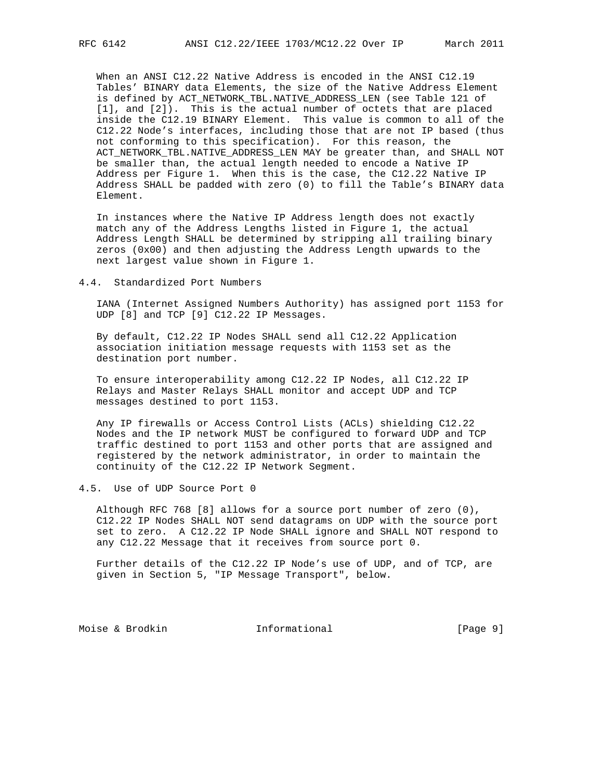When an ANSI C12.22 Native Address is encoded in the ANSI C12.19 Tables' BINARY data Elements, the size of the Native Address Element is defined by ACT\_NETWORK\_TBL.NATIVE\_ADDRESS\_LEN (see Table 121 of [1], and [2]). This is the actual number of octets that are placed inside the C12.19 BINARY Element. This value is common to all of the C12.22 Node's interfaces, including those that are not IP based (thus not conforming to this specification). For this reason, the ACT\_NETWORK\_TBL.NATIVE\_ADDRESS\_LEN MAY be greater than, and SHALL NOT be smaller than, the actual length needed to encode a Native IP Address per Figure 1. When this is the case, the C12.22 Native IP Address SHALL be padded with zero (0) to fill the Table's BINARY data Element.

 In instances where the Native IP Address length does not exactly match any of the Address Lengths listed in Figure 1, the actual Address Length SHALL be determined by stripping all trailing binary zeros (0x00) and then adjusting the Address Length upwards to the next largest value shown in Figure 1.

4.4. Standardized Port Numbers

 IANA (Internet Assigned Numbers Authority) has assigned port 1153 for UDP [8] and TCP [9] C12.22 IP Messages.

 By default, C12.22 IP Nodes SHALL send all C12.22 Application association initiation message requests with 1153 set as the destination port number.

 To ensure interoperability among C12.22 IP Nodes, all C12.22 IP Relays and Master Relays SHALL monitor and accept UDP and TCP messages destined to port 1153.

 Any IP firewalls or Access Control Lists (ACLs) shielding C12.22 Nodes and the IP network MUST be configured to forward UDP and TCP traffic destined to port 1153 and other ports that are assigned and registered by the network administrator, in order to maintain the continuity of the C12.22 IP Network Segment.

4.5. Use of UDP Source Port 0

 Although RFC 768 [8] allows for a source port number of zero (0), C12.22 IP Nodes SHALL NOT send datagrams on UDP with the source port set to zero. A C12.22 IP Node SHALL ignore and SHALL NOT respond to any C12.22 Message that it receives from source port 0.

 Further details of the C12.22 IP Node's use of UDP, and of TCP, are given in Section 5, "IP Message Transport", below.

Moise & Brodkin **Informational** [Page 9]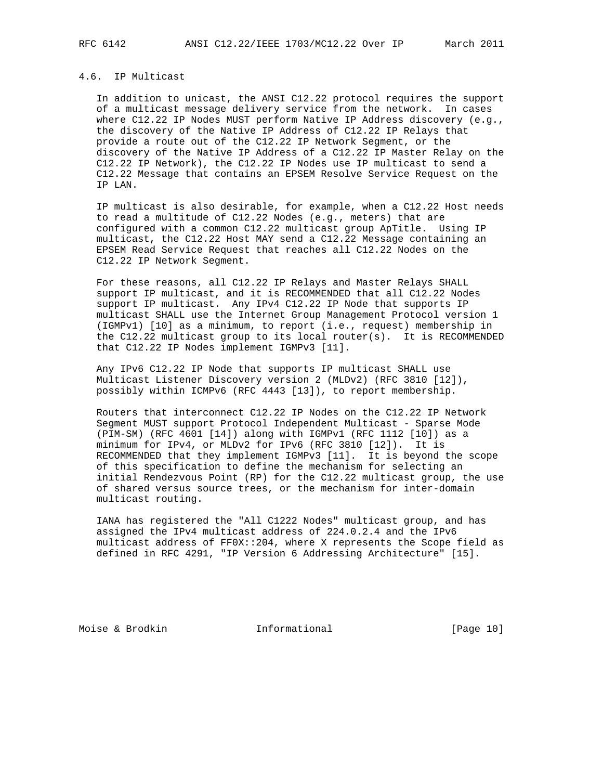# 4.6. IP Multicast

 In addition to unicast, the ANSI C12.22 protocol requires the support of a multicast message delivery service from the network. In cases where C12.22 IP Nodes MUST perform Native IP Address discovery (e.g., the discovery of the Native IP Address of C12.22 IP Relays that provide a route out of the C12.22 IP Network Segment, or the discovery of the Native IP Address of a C12.22 IP Master Relay on the C12.22 IP Network), the C12.22 IP Nodes use IP multicast to send a C12.22 Message that contains an EPSEM Resolve Service Request on the IP LAN.

 IP multicast is also desirable, for example, when a C12.22 Host needs to read a multitude of C12.22 Nodes (e.g., meters) that are configured with a common C12.22 multicast group ApTitle. Using IP multicast, the C12.22 Host MAY send a C12.22 Message containing an EPSEM Read Service Request that reaches all C12.22 Nodes on the C12.22 IP Network Segment.

 For these reasons, all C12.22 IP Relays and Master Relays SHALL support IP multicast, and it is RECOMMENDED that all C12.22 Nodes support IP multicast. Any IPv4 C12.22 IP Node that supports IP multicast SHALL use the Internet Group Management Protocol version 1 (IGMPv1) [10] as a minimum, to report (i.e., request) membership in the C12.22 multicast group to its local router(s). It is RECOMMENDED that C12.22 IP Nodes implement IGMPv3 [11].

 Any IPv6 C12.22 IP Node that supports IP multicast SHALL use Multicast Listener Discovery version 2 (MLDv2) (RFC 3810 [12]), possibly within ICMPv6 (RFC 4443 [13]), to report membership.

 Routers that interconnect C12.22 IP Nodes on the C12.22 IP Network Segment MUST support Protocol Independent Multicast - Sparse Mode (PIM-SM) (RFC 4601 [14]) along with IGMPv1 (RFC 1112 [10]) as a minimum for IPv4, or MLDv2 for IPv6 (RFC 3810 [12]). It is RECOMMENDED that they implement IGMPv3 [11]. It is beyond the scope of this specification to define the mechanism for selecting an initial Rendezvous Point (RP) for the C12.22 multicast group, the use of shared versus source trees, or the mechanism for inter-domain multicast routing.

 IANA has registered the "All C1222 Nodes" multicast group, and has assigned the IPv4 multicast address of 224.0.2.4 and the IPv6 multicast address of FF0X::204, where X represents the Scope field as defined in RFC 4291, "IP Version 6 Addressing Architecture" [15].

Moise & Brodkin **Informational** [Page 10]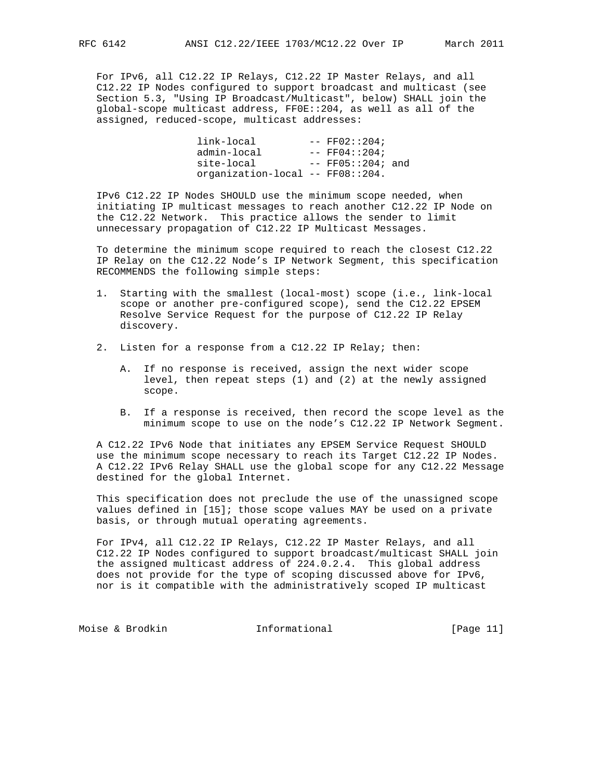For IPv6, all C12.22 IP Relays, C12.22 IP Master Relays, and all C12.22 IP Nodes configured to support broadcast and multicast (see Section 5.3, "Using IP Broadcast/Multicast", below) SHALL join the global-scope multicast address, FF0E::204, as well as all of the assigned, reduced-scope, multicast addresses:

 $link$ -local  $---$  FF02::204;  $\alpha$ dmin-local  $---$  FF04::204; site-local -- FF05::204; and organization-local -- FF08::204.

 IPv6 C12.22 IP Nodes SHOULD use the minimum scope needed, when initiating IP multicast messages to reach another C12.22 IP Node on the C12.22 Network. This practice allows the sender to limit unnecessary propagation of C12.22 IP Multicast Messages.

 To determine the minimum scope required to reach the closest C12.22 IP Relay on the C12.22 Node's IP Network Segment, this specification RECOMMENDS the following simple steps:

- 1. Starting with the smallest (local-most) scope (i.e., link-local scope or another pre-configured scope), send the C12.22 EPSEM Resolve Service Request for the purpose of C12.22 IP Relay discovery.
- 2. Listen for a response from a C12.22 IP Relay; then:
	- A. If no response is received, assign the next wider scope level, then repeat steps (1) and (2) at the newly assigned scope.
	- B. If a response is received, then record the scope level as the minimum scope to use on the node's C12.22 IP Network Segment.

 A C12.22 IPv6 Node that initiates any EPSEM Service Request SHOULD use the minimum scope necessary to reach its Target C12.22 IP Nodes. A C12.22 IPv6 Relay SHALL use the global scope for any C12.22 Message destined for the global Internet.

 This specification does not preclude the use of the unassigned scope values defined in [15]; those scope values MAY be used on a private basis, or through mutual operating agreements.

 For IPv4, all C12.22 IP Relays, C12.22 IP Master Relays, and all C12.22 IP Nodes configured to support broadcast/multicast SHALL join the assigned multicast address of 224.0.2.4. This global address does not provide for the type of scoping discussed above for IPv6, nor is it compatible with the administratively scoped IP multicast

Moise & Brodkin **Informational** [Page 11]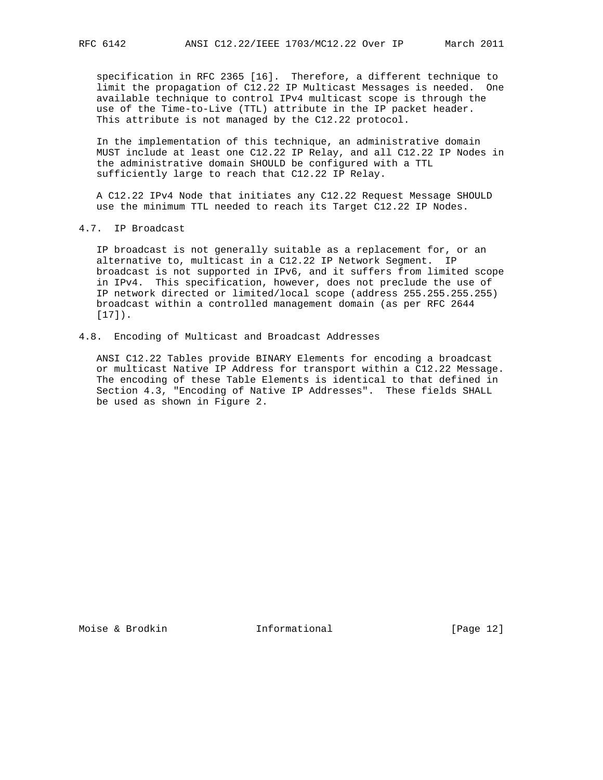specification in RFC 2365 [16]. Therefore, a different technique to limit the propagation of C12.22 IP Multicast Messages is needed. One available technique to control IPv4 multicast scope is through the use of the Time-to-Live (TTL) attribute in the IP packet header. This attribute is not managed by the C12.22 protocol.

 In the implementation of this technique, an administrative domain MUST include at least one C12.22 IP Relay, and all C12.22 IP Nodes in the administrative domain SHOULD be configured with a TTL sufficiently large to reach that C12.22 IP Relay.

 A C12.22 IPv4 Node that initiates any C12.22 Request Message SHOULD use the minimum TTL needed to reach its Target C12.22 IP Nodes.

# 4.7. IP Broadcast

 IP broadcast is not generally suitable as a replacement for, or an alternative to, multicast in a C12.22 IP Network Segment. IP broadcast is not supported in IPv6, and it suffers from limited scope in IPv4. This specification, however, does not preclude the use of IP network directed or limited/local scope (address 255.255.255.255) broadcast within a controlled management domain (as per RFC 2644 [17]).

# 4.8. Encoding of Multicast and Broadcast Addresses

 ANSI C12.22 Tables provide BINARY Elements for encoding a broadcast or multicast Native IP Address for transport within a C12.22 Message. The encoding of these Table Elements is identical to that defined in Section 4.3, "Encoding of Native IP Addresses". These fields SHALL be used as shown in Figure 2.

Moise & Brodkin **Informational** [Page 12]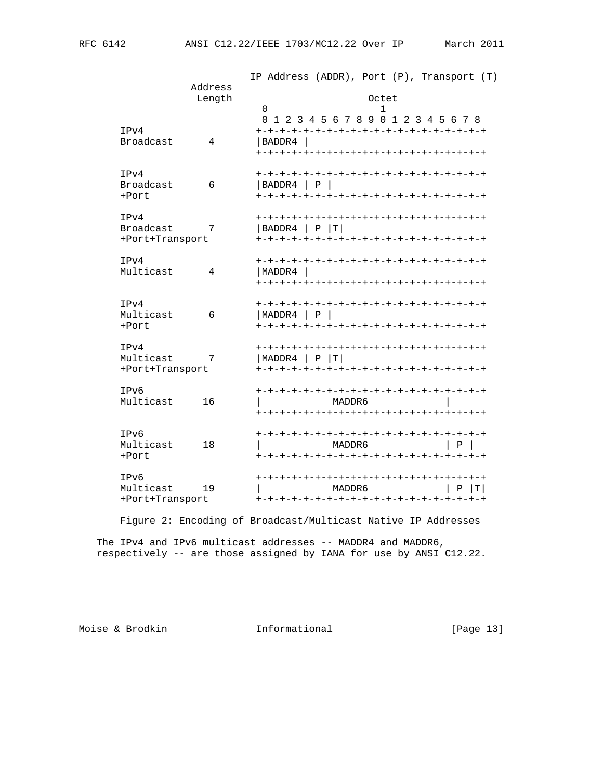|                                      |                   | IP Address (ADDR), Port (P), Transport (T)                                 |
|--------------------------------------|-------------------|----------------------------------------------------------------------------|
|                                      | Address<br>Length | Octet<br>$\mathbf 0$<br>1                                                  |
| IPv4<br>Broadcast                    | 4                 | 0 1 2 3 4 5 6 7 8 9 0 1 2 3 4 5 6 7 8<br>BADDR4<br>+-+-+-+-+-+-+           |
| IPv4<br>Broadcast<br>+Port           | 6                 | BADDR4 P                                                                   |
| IPv4<br>Broadcast<br>+Port+Transport | 7                 | -+-+-+-+-+-+-+-+-+-+-+-+-+-+-+<br>BADDR4<br>$\mathbf{P}$<br>$ \mathbf{T} $ |
| IPv4<br>Multicast                    | 4                 | MADDR4                                                                     |
| IPv4<br>Multicast<br>$+Port$         | 6                 | MADDR4<br>P                                                                |
| IPv4<br>Multicast<br>+Port+Transport | 7                 | MADDR4  <br>$P$   T                                                        |
| IPv6<br>Multicast                    | 16                | -+-+-+-+-+-+-+-+-+-+-+-+-+<br>MADDR 6<br>+-+-+-+-+-+-+-+-+-+-+-+-+-+       |
| IPv6<br>Multicast<br>+Port           | 18                | MADDR6<br>Ρ                                                                |
| IPv6<br>Multicast<br>+Port+Transport | 19                | ΤI<br>MADDR6<br>Ρ                                                          |
|                                      |                   |                                                                            |

Figure 2: Encoding of Broadcast/Multicast Native IP Addresses

 The IPv4 and IPv6 multicast addresses -- MADDR4 and MADDR6, respectively -- are those assigned by IANA for use by ANSI C12.22.

Moise & Brodkin **Informational** [Page 13]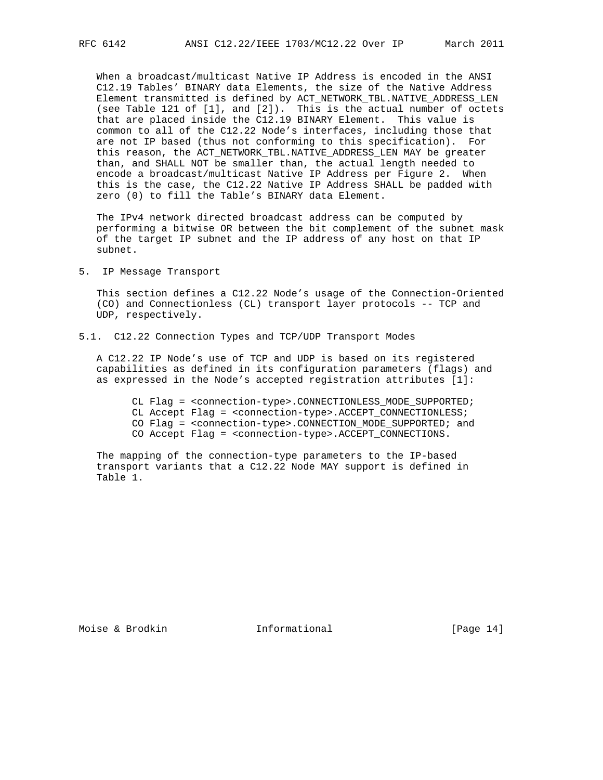When a broadcast/multicast Native IP Address is encoded in the ANSI C12.19 Tables' BINARY data Elements, the size of the Native Address Element transmitted is defined by ACT\_NETWORK\_TBL.NATIVE\_ADDRESS\_LEN (see Table 121 of [1], and [2]). This is the actual number of octets that are placed inside the C12.19 BINARY Element. This value is common to all of the C12.22 Node's interfaces, including those that are not IP based (thus not conforming to this specification). For this reason, the ACT\_NETWORK\_TBL.NATIVE\_ADDRESS\_LEN MAY be greater than, and SHALL NOT be smaller than, the actual length needed to encode a broadcast/multicast Native IP Address per Figure 2. When this is the case, the C12.22 Native IP Address SHALL be padded with zero (0) to fill the Table's BINARY data Element.

 The IPv4 network directed broadcast address can be computed by performing a bitwise OR between the bit complement of the subnet mask of the target IP subnet and the IP address of any host on that IP subnet.

5. IP Message Transport

 This section defines a C12.22 Node's usage of the Connection-Oriented (CO) and Connectionless (CL) transport layer protocols -- TCP and UDP, respectively.

5.1. C12.22 Connection Types and TCP/UDP Transport Modes

 A C12.22 IP Node's use of TCP and UDP is based on its registered capabilities as defined in its configuration parameters (flags) and as expressed in the Node's accepted registration attributes [1]:

 CL Flag = <connection-type>.CONNECTIONLESS\_MODE\_SUPPORTED; CL Accept Flag = <connection-type>.ACCEPT\_CONNECTIONLESS; CO Flag = <connection-type>.CONNECTION\_MODE\_SUPPORTED; and CO Accept Flag = <connection-type>.ACCEPT\_CONNECTIONS.

 The mapping of the connection-type parameters to the IP-based transport variants that a C12.22 Node MAY support is defined in Table 1.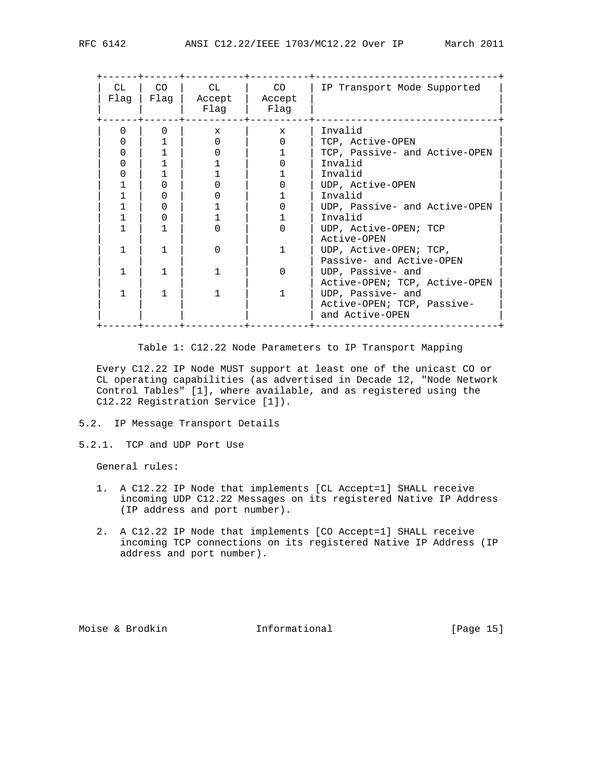| CL.<br>Flaq | CO <sub>2</sub><br>Flaq | CL<br>Accept<br>Flaq | CO <sub>2</sub><br>Accept<br>Flaq | IP Transport Mode Supported   |
|-------------|-------------------------|----------------------|-----------------------------------|-------------------------------|
| $\Omega$    |                         | $\mathbf{x}$         | $\mathbf{x}$                      | Invalid                       |
|             |                         |                      |                                   | TCP, Active-OPEN              |
|             |                         |                      |                                   | TCP, Passive- and Active-OPEN |
|             |                         |                      |                                   | Invalid                       |
|             |                         |                      |                                   | Invalid                       |
|             |                         |                      |                                   | UDP, Active-OPEN              |
|             |                         |                      |                                   | Invalid                       |
|             |                         |                      |                                   | UDP, Passive- and Active-OPEN |
|             |                         |                      |                                   | Invalid                       |
|             |                         |                      |                                   | UDP, Active-OPEN; TCP         |
|             |                         |                      |                                   | Active-OPEN                   |
|             |                         | U                    |                                   | UDP, Active-OPEN; TCP,        |
|             |                         |                      |                                   | Passive- and Active-OPEN      |
|             |                         |                      |                                   | UDP, Passive- and             |
|             |                         |                      |                                   | Active-OPEN; TCP, Active-OPEN |
|             |                         |                      |                                   | UDP, Passive- and             |
|             |                         |                      |                                   | Active-OPEN; TCP, Passive-    |
|             |                         |                      |                                   | and Active-OPEN               |

Table 1: C12.22 Node Parameters to IP Transport Mapping

 Every C12.22 IP Node MUST support at least one of the unicast CO or CL operating capabilities (as advertised in Decade 12, "Node Network Control Tables" [1], where available, and as registered using the C12.22 Registration Service [1]).

- 5.2. IP Message Transport Details
- 5.2.1. TCP and UDP Port Use

General rules:

- 1. A C12.22 IP Node that implements [CL Accept=1] SHALL receive incoming UDP C12.22 Messages on its registered Native IP Address (IP address and port number).
- 2. A C12.22 IP Node that implements [CO Accept=1] SHALL receive incoming TCP connections on its registered Native IP Address (IP address and port number).

Moise & Brodkin **Informational** [Page 15]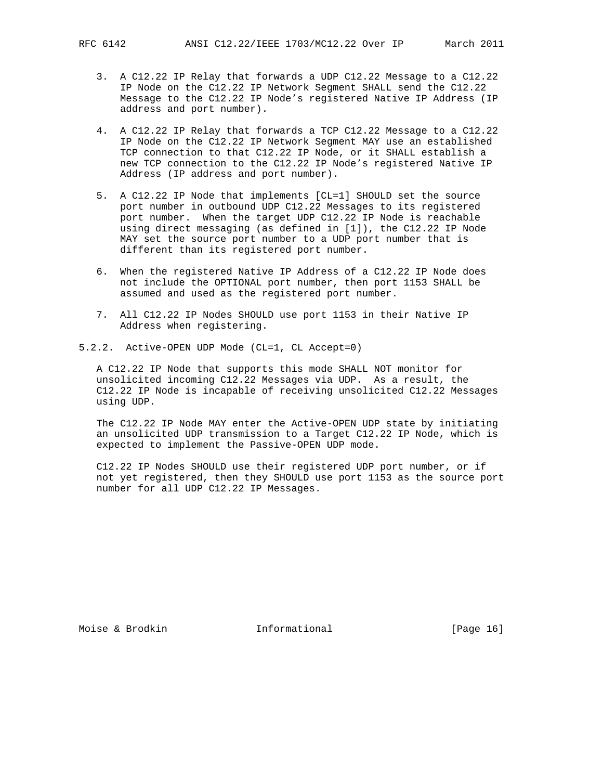- 3. A C12.22 IP Relay that forwards a UDP C12.22 Message to a C12.22 IP Node on the C12.22 IP Network Segment SHALL send the C12.22 Message to the C12.22 IP Node's registered Native IP Address (IP address and port number).
- 4. A C12.22 IP Relay that forwards a TCP C12.22 Message to a C12.22 IP Node on the C12.22 IP Network Segment MAY use an established TCP connection to that C12.22 IP Node, or it SHALL establish a new TCP connection to the C12.22 IP Node's registered Native IP Address (IP address and port number).
- 5. A C12.22 IP Node that implements [CL=1] SHOULD set the source port number in outbound UDP C12.22 Messages to its registered port number. When the target UDP C12.22 IP Node is reachable using direct messaging (as defined in [1]), the C12.22 IP Node MAY set the source port number to a UDP port number that is different than its registered port number.
- 6. When the registered Native IP Address of a C12.22 IP Node does not include the OPTIONAL port number, then port 1153 SHALL be assumed and used as the registered port number.
- 7. All C12.22 IP Nodes SHOULD use port 1153 in their Native IP Address when registering.
- 5.2.2. Active-OPEN UDP Mode (CL=1, CL Accept=0)

 A C12.22 IP Node that supports this mode SHALL NOT monitor for unsolicited incoming C12.22 Messages via UDP. As a result, the C12.22 IP Node is incapable of receiving unsolicited C12.22 Messages using UDP.

 The C12.22 IP Node MAY enter the Active-OPEN UDP state by initiating an unsolicited UDP transmission to a Target C12.22 IP Node, which is expected to implement the Passive-OPEN UDP mode.

 C12.22 IP Nodes SHOULD use their registered UDP port number, or if not yet registered, then they SHOULD use port 1153 as the source port number for all UDP C12.22 IP Messages.

Moise & Brodkin **Informational** [Page 16]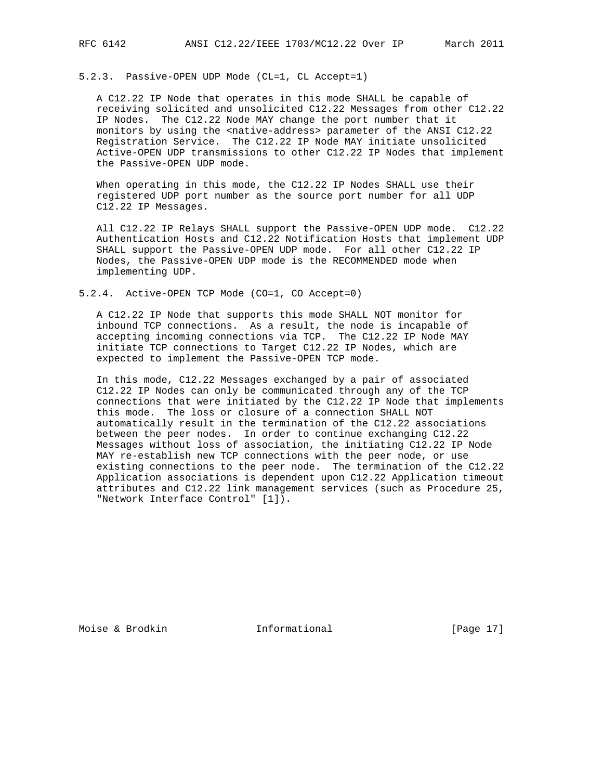5.2.3. Passive-OPEN UDP Mode (CL=1, CL Accept=1)

 A C12.22 IP Node that operates in this mode SHALL be capable of receiving solicited and unsolicited C12.22 Messages from other C12.22 IP Nodes. The C12.22 Node MAY change the port number that it monitors by using the <native-address> parameter of the ANSI C12.22 Registration Service. The C12.22 IP Node MAY initiate unsolicited Active-OPEN UDP transmissions to other C12.22 IP Nodes that implement the Passive-OPEN UDP mode.

 When operating in this mode, the C12.22 IP Nodes SHALL use their registered UDP port number as the source port number for all UDP C12.22 IP Messages.

 All C12.22 IP Relays SHALL support the Passive-OPEN UDP mode. C12.22 Authentication Hosts and C12.22 Notification Hosts that implement UDP SHALL support the Passive-OPEN UDP mode. For all other C12.22 IP Nodes, the Passive-OPEN UDP mode is the RECOMMENDED mode when implementing UDP.

5.2.4. Active-OPEN TCP Mode (CO=1, CO Accept=0)

 A C12.22 IP Node that supports this mode SHALL NOT monitor for inbound TCP connections. As a result, the node is incapable of accepting incoming connections via TCP. The C12.22 IP Node MAY initiate TCP connections to Target C12.22 IP Nodes, which are expected to implement the Passive-OPEN TCP mode.

 In this mode, C12.22 Messages exchanged by a pair of associated C12.22 IP Nodes can only be communicated through any of the TCP connections that were initiated by the C12.22 IP Node that implements this mode. The loss or closure of a connection SHALL NOT automatically result in the termination of the C12.22 associations between the peer nodes. In order to continue exchanging C12.22 Messages without loss of association, the initiating C12.22 IP Node MAY re-establish new TCP connections with the peer node, or use existing connections to the peer node. The termination of the C12.22 Application associations is dependent upon C12.22 Application timeout attributes and C12.22 link management services (such as Procedure 25, "Network Interface Control" [1]).

Moise & Brodkin **Informational** [Page 17]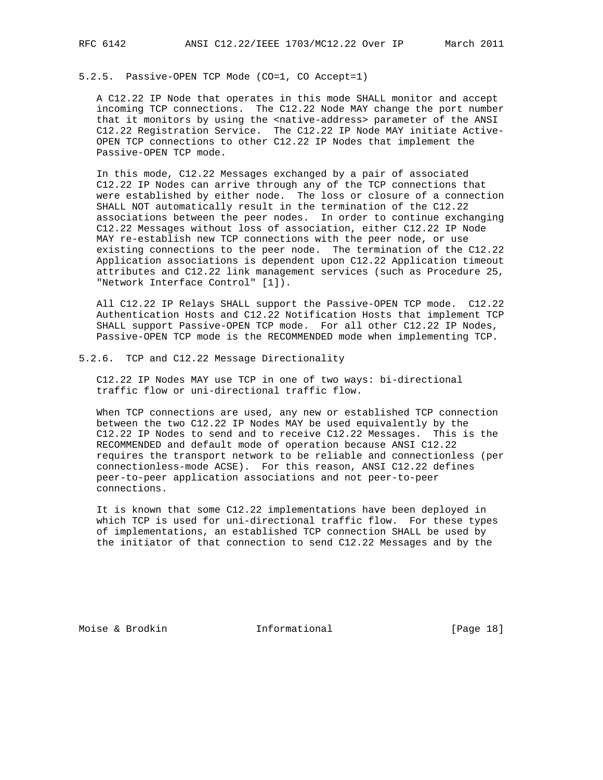# 5.2.5. Passive-OPEN TCP Mode (CO=1, CO Accept=1)

 A C12.22 IP Node that operates in this mode SHALL monitor and accept incoming TCP connections. The C12.22 Node MAY change the port number that it monitors by using the <native-address> parameter of the ANSI C12.22 Registration Service. The C12.22 IP Node MAY initiate Active- OPEN TCP connections to other C12.22 IP Nodes that implement the Passive-OPEN TCP mode.

 In this mode, C12.22 Messages exchanged by a pair of associated C12.22 IP Nodes can arrive through any of the TCP connections that were established by either node. The loss or closure of a connection SHALL NOT automatically result in the termination of the C12.22 associations between the peer nodes. In order to continue exchanging C12.22 Messages without loss of association, either C12.22 IP Node MAY re-establish new TCP connections with the peer node, or use existing connections to the peer node. The termination of the C12.22 Application associations is dependent upon C12.22 Application timeout attributes and C12.22 link management services (such as Procedure 25, "Network Interface Control" [1]).

 All C12.22 IP Relays SHALL support the Passive-OPEN TCP mode. C12.22 Authentication Hosts and C12.22 Notification Hosts that implement TCP SHALL support Passive-OPEN TCP mode. For all other C12.22 IP Nodes, Passive-OPEN TCP mode is the RECOMMENDED mode when implementing TCP.

## 5.2.6. TCP and C12.22 Message Directionality

 C12.22 IP Nodes MAY use TCP in one of two ways: bi-directional traffic flow or uni-directional traffic flow.

 When TCP connections are used, any new or established TCP connection between the two C12.22 IP Nodes MAY be used equivalently by the C12.22 IP Nodes to send and to receive C12.22 Messages. This is the RECOMMENDED and default mode of operation because ANSI C12.22 requires the transport network to be reliable and connectionless (per connectionless-mode ACSE). For this reason, ANSI C12.22 defines peer-to-peer application associations and not peer-to-peer connections.

 It is known that some C12.22 implementations have been deployed in which TCP is used for uni-directional traffic flow. For these types of implementations, an established TCP connection SHALL be used by the initiator of that connection to send C12.22 Messages and by the

Moise & Brodkin **Informational** [Page 18]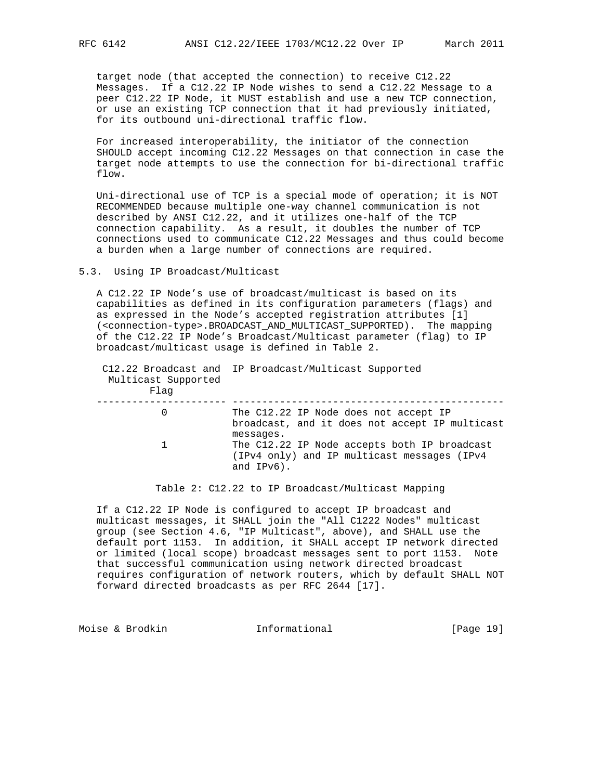target node (that accepted the connection) to receive C12.22 Messages. If a C12.22 IP Node wishes to send a C12.22 Message to a peer C12.22 IP Node, it MUST establish and use a new TCP connection, or use an existing TCP connection that it had previously initiated, for its outbound uni-directional traffic flow.

 For increased interoperability, the initiator of the connection SHOULD accept incoming C12.22 Messages on that connection in case the target node attempts to use the connection for bi-directional traffic flow.

 Uni-directional use of TCP is a special mode of operation; it is NOT RECOMMENDED because multiple one-way channel communication is not described by ANSI C12.22, and it utilizes one-half of the TCP connection capability. As a result, it doubles the number of TCP connections used to communicate C12.22 Messages and thus could become a burden when a large number of connections are required.

5.3. Using IP Broadcast/Multicast

 A C12.22 IP Node's use of broadcast/multicast is based on its capabilities as defined in its configuration parameters (flags) and as expressed in the Node's accepted registration attributes [1] (<connection-type>.BROADCAST\_AND\_MULTICAST\_SUPPORTED). The mapping of the C12.22 IP Node's Broadcast/Multicast parameter (flag) to IP broadcast/multicast usage is defined in Table 2.

| Multicast Supported<br>Flaq | C12.22 Broadcast and IP Broadcast/Multicast Supported                                                        |
|-----------------------------|--------------------------------------------------------------------------------------------------------------|
|                             | The C12.22 IP Node does not accept IP<br>broadcast, and it does not accept IP multicast<br>messages.         |
| $\mathbf{1}$                | The C12.22 IP Node accepts both IP broadcast<br>(IPv4 only) and IP multicast messages (IPv4<br>and $IPv6$ ). |

Table 2: C12.22 to IP Broadcast/Multicast Mapping

 If a C12.22 IP Node is configured to accept IP broadcast and multicast messages, it SHALL join the "All C1222 Nodes" multicast group (see Section 4.6, "IP Multicast", above), and SHALL use the default port 1153. In addition, it SHALL accept IP network directed or limited (local scope) broadcast messages sent to port 1153. Note that successful communication using network directed broadcast requires configuration of network routers, which by default SHALL NOT forward directed broadcasts as per RFC 2644 [17].

Moise & Brodkin **Informational** [Page 19]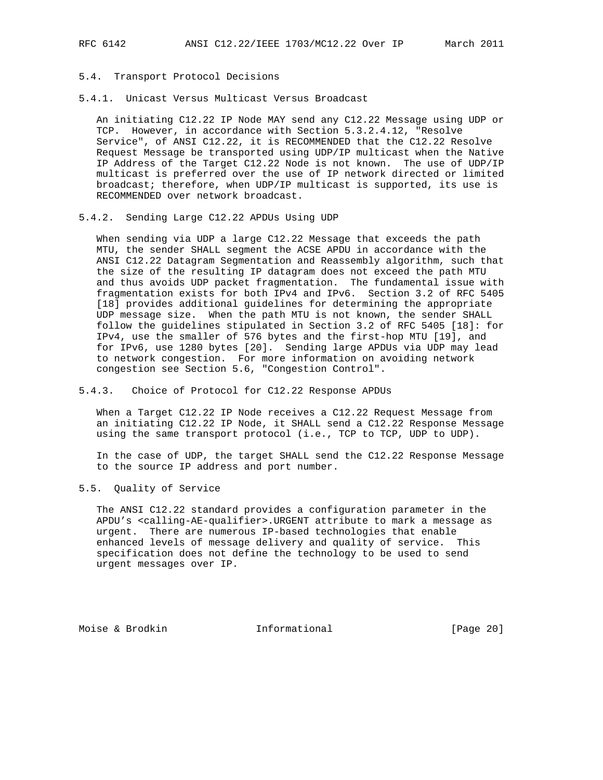- 5.4. Transport Protocol Decisions
- 5.4.1. Unicast Versus Multicast Versus Broadcast

 An initiating C12.22 IP Node MAY send any C12.22 Message using UDP or TCP. However, in accordance with Section 5.3.2.4.12, "Resolve Service", of ANSI C12.22, it is RECOMMENDED that the C12.22 Resolve Request Message be transported using UDP/IP multicast when the Native IP Address of the Target C12.22 Node is not known. The use of UDP/IP multicast is preferred over the use of IP network directed or limited broadcast; therefore, when UDP/IP multicast is supported, its use is RECOMMENDED over network broadcast.

5.4.2. Sending Large C12.22 APDUs Using UDP

 When sending via UDP a large C12.22 Message that exceeds the path MTU, the sender SHALL segment the ACSE APDU in accordance with the ANSI C12.22 Datagram Segmentation and Reassembly algorithm, such that the size of the resulting IP datagram does not exceed the path MTU and thus avoids UDP packet fragmentation. The fundamental issue with fragmentation exists for both IPv4 and IPv6. Section 3.2 of RFC 5405 [18] provides additional guidelines for determining the appropriate UDP message size. When the path MTU is not known, the sender SHALL follow the guidelines stipulated in Section 3.2 of RFC 5405 [18]: for IPv4, use the smaller of 576 bytes and the first-hop MTU [19], and for IPv6, use 1280 bytes [20]. Sending large APDUs via UDP may lead to network congestion. For more information on avoiding network congestion see Section 5.6, "Congestion Control".

5.4.3. Choice of Protocol for C12.22 Response APDUs

 When a Target C12.22 IP Node receives a C12.22 Request Message from an initiating C12.22 IP Node, it SHALL send a C12.22 Response Message using the same transport protocol (i.e., TCP to TCP, UDP to UDP).

 In the case of UDP, the target SHALL send the C12.22 Response Message to the source IP address and port number.

5.5. Quality of Service

 The ANSI C12.22 standard provides a configuration parameter in the APDU's <calling-AE-qualifier>.URGENT attribute to mark a message as urgent. There are numerous IP-based technologies that enable enhanced levels of message delivery and quality of service. This specification does not define the technology to be used to send urgent messages over IP.

Moise & Brodkin **Informational** [Page 20]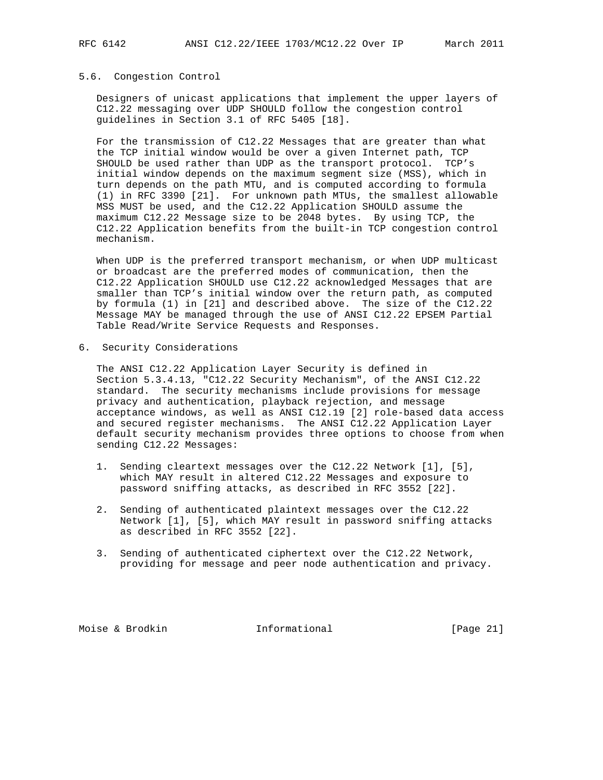# 5.6. Congestion Control

 Designers of unicast applications that implement the upper layers of C12.22 messaging over UDP SHOULD follow the congestion control guidelines in Section 3.1 of RFC 5405 [18].

 For the transmission of C12.22 Messages that are greater than what the TCP initial window would be over a given Internet path, TCP SHOULD be used rather than UDP as the transport protocol. TCP's initial window depends on the maximum segment size (MSS), which in turn depends on the path MTU, and is computed according to formula (1) in RFC 3390 [21]. For unknown path MTUs, the smallest allowable MSS MUST be used, and the C12.22 Application SHOULD assume the maximum C12.22 Message size to be 2048 bytes. By using TCP, the C12.22 Application benefits from the built-in TCP congestion control mechanism.

 When UDP is the preferred transport mechanism, or when UDP multicast or broadcast are the preferred modes of communication, then the C12.22 Application SHOULD use C12.22 acknowledged Messages that are smaller than TCP's initial window over the return path, as computed by formula (1) in [21] and described above. The size of the C12.22 Message MAY be managed through the use of ANSI C12.22 EPSEM Partial Table Read/Write Service Requests and Responses.

6. Security Considerations

 The ANSI C12.22 Application Layer Security is defined in Section 5.3.4.13, "C12.22 Security Mechanism", of the ANSI C12.22 standard. The security mechanisms include provisions for message privacy and authentication, playback rejection, and message acceptance windows, as well as ANSI C12.19 [2] role-based data access and secured register mechanisms. The ANSI C12.22 Application Layer default security mechanism provides three options to choose from when sending C12.22 Messages:

- 1. Sending cleartext messages over the C12.22 Network [1], [5], which MAY result in altered C12.22 Messages and exposure to password sniffing attacks, as described in RFC 3552 [22].
- 2. Sending of authenticated plaintext messages over the C12.22 Network [1], [5], which MAY result in password sniffing attacks as described in RFC 3552 [22].
- 3. Sending of authenticated ciphertext over the C12.22 Network, providing for message and peer node authentication and privacy.

Moise & Brodkin **Informational** [Page 21]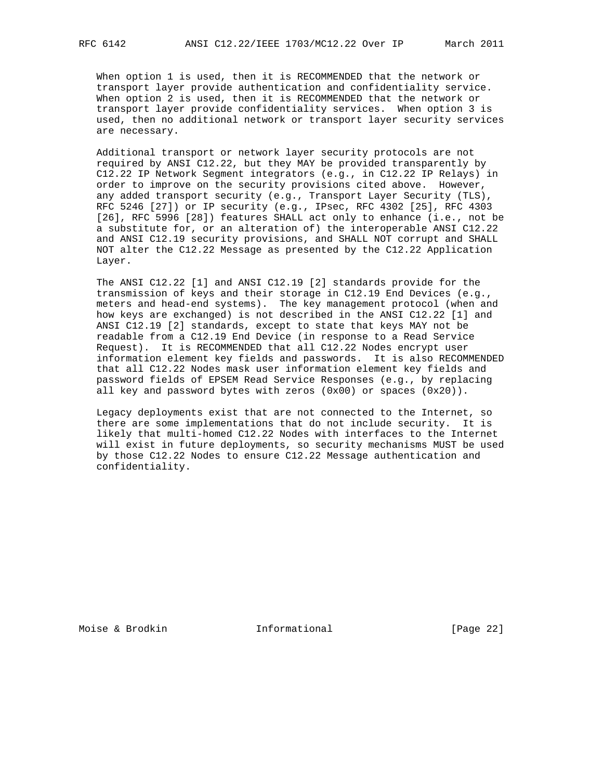When option 1 is used, then it is RECOMMENDED that the network or transport layer provide authentication and confidentiality service. When option 2 is used, then it is RECOMMENDED that the network or transport layer provide confidentiality services. When option 3 is used, then no additional network or transport layer security services are necessary.

 Additional transport or network layer security protocols are not required by ANSI C12.22, but they MAY be provided transparently by C12.22 IP Network Segment integrators (e.g., in C12.22 IP Relays) in order to improve on the security provisions cited above. However, any added transport security (e.g., Transport Layer Security (TLS), RFC 5246 [27]) or IP security (e.g., IPsec, RFC 4302 [25], RFC 4303 [26], RFC 5996 [28]) features SHALL act only to enhance (i.e., not be a substitute for, or an alteration of) the interoperable ANSI C12.22 and ANSI C12.19 security provisions, and SHALL NOT corrupt and SHALL NOT alter the C12.22 Message as presented by the C12.22 Application Layer.

 The ANSI C12.22 [1] and ANSI C12.19 [2] standards provide for the transmission of keys and their storage in C12.19 End Devices (e.g., meters and head-end systems). The key management protocol (when and how keys are exchanged) is not described in the ANSI C12.22 [1] and ANSI C12.19 [2] standards, except to state that keys MAY not be readable from a C12.19 End Device (in response to a Read Service Request). It is RECOMMENDED that all C12.22 Nodes encrypt user information element key fields and passwords. It is also RECOMMENDED that all C12.22 Nodes mask user information element key fields and password fields of EPSEM Read Service Responses (e.g., by replacing all key and password bytes with zeros  $(0x00)$  or spaces  $(0x20)$ ).

 Legacy deployments exist that are not connected to the Internet, so there are some implementations that do not include security. It is likely that multi-homed C12.22 Nodes with interfaces to the Internet will exist in future deployments, so security mechanisms MUST be used by those C12.22 Nodes to ensure C12.22 Message authentication and confidentiality.

Moise & Brodkin **Informational** [Page 22]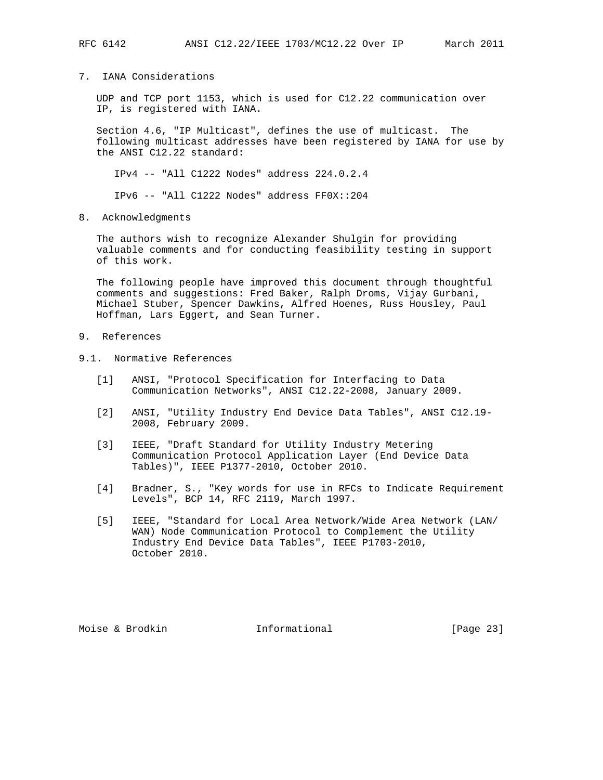# 7. IANA Considerations

 UDP and TCP port 1153, which is used for C12.22 communication over IP, is registered with IANA.

 Section 4.6, "IP Multicast", defines the use of multicast. The following multicast addresses have been registered by IANA for use by the ANSI C12.22 standard:

IPv4 -- "All C1222 Nodes" address 224.0.2.4

IPv6 -- "All C1222 Nodes" address FF0X::204

8. Acknowledgments

 The authors wish to recognize Alexander Shulgin for providing valuable comments and for conducting feasibility testing in support of this work.

 The following people have improved this document through thoughtful comments and suggestions: Fred Baker, Ralph Droms, Vijay Gurbani, Michael Stuber, Spencer Dawkins, Alfred Hoenes, Russ Housley, Paul Hoffman, Lars Eggert, and Sean Turner.

- 9. References
- 9.1. Normative References
	- [1] ANSI, "Protocol Specification for Interfacing to Data Communication Networks", ANSI C12.22-2008, January 2009.
	- [2] ANSI, "Utility Industry End Device Data Tables", ANSI C12.19- 2008, February 2009.
	- [3] IEEE, "Draft Standard for Utility Industry Metering Communication Protocol Application Layer (End Device Data Tables)", IEEE P1377-2010, October 2010.
	- [4] Bradner, S., "Key words for use in RFCs to Indicate Requirement Levels", BCP 14, RFC 2119, March 1997.
	- [5] IEEE, "Standard for Local Area Network/Wide Area Network (LAN/ WAN) Node Communication Protocol to Complement the Utility Industry End Device Data Tables", IEEE P1703-2010, October 2010.

Moise & Brodkin **Informational** [Page 23]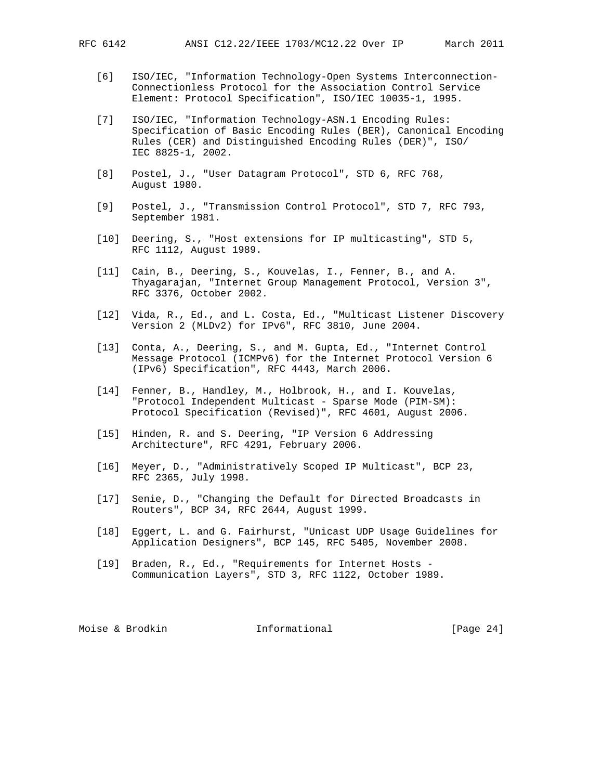- [6] ISO/IEC, "Information Technology-Open Systems Interconnection- Connectionless Protocol for the Association Control Service Element: Protocol Specification", ISO/IEC 10035-1, 1995.
- [7] ISO/IEC, "Information Technology-ASN.1 Encoding Rules: Specification of Basic Encoding Rules (BER), Canonical Encoding Rules (CER) and Distinguished Encoding Rules (DER)", ISO/ IEC 8825-1, 2002.
- [8] Postel, J., "User Datagram Protocol", STD 6, RFC 768, August 1980.
- [9] Postel, J., "Transmission Control Protocol", STD 7, RFC 793, September 1981.
- [10] Deering, S., "Host extensions for IP multicasting", STD 5, RFC 1112, August 1989.
- [11] Cain, B., Deering, S., Kouvelas, I., Fenner, B., and A. Thyagarajan, "Internet Group Management Protocol, Version 3", RFC 3376, October 2002.
- [12] Vida, R., Ed., and L. Costa, Ed., "Multicast Listener Discovery Version 2 (MLDv2) for IPv6", RFC 3810, June 2004.
- [13] Conta, A., Deering, S., and M. Gupta, Ed., "Internet Control Message Protocol (ICMPv6) for the Internet Protocol Version 6 (IPv6) Specification", RFC 4443, March 2006.
- [14] Fenner, B., Handley, M., Holbrook, H., and I. Kouvelas, "Protocol Independent Multicast - Sparse Mode (PIM-SM): Protocol Specification (Revised)", RFC 4601, August 2006.
- [15] Hinden, R. and S. Deering, "IP Version 6 Addressing Architecture", RFC 4291, February 2006.
- [16] Meyer, D., "Administratively Scoped IP Multicast", BCP 23, RFC 2365, July 1998.
- [17] Senie, D., "Changing the Default for Directed Broadcasts in Routers", BCP 34, RFC 2644, August 1999.
- [18] Eggert, L. and G. Fairhurst, "Unicast UDP Usage Guidelines for Application Designers", BCP 145, RFC 5405, November 2008.
- [19] Braden, R., Ed., "Requirements for Internet Hosts Communication Layers", STD 3, RFC 1122, October 1989.

Moise & Brodkin **Informational** [Page 24]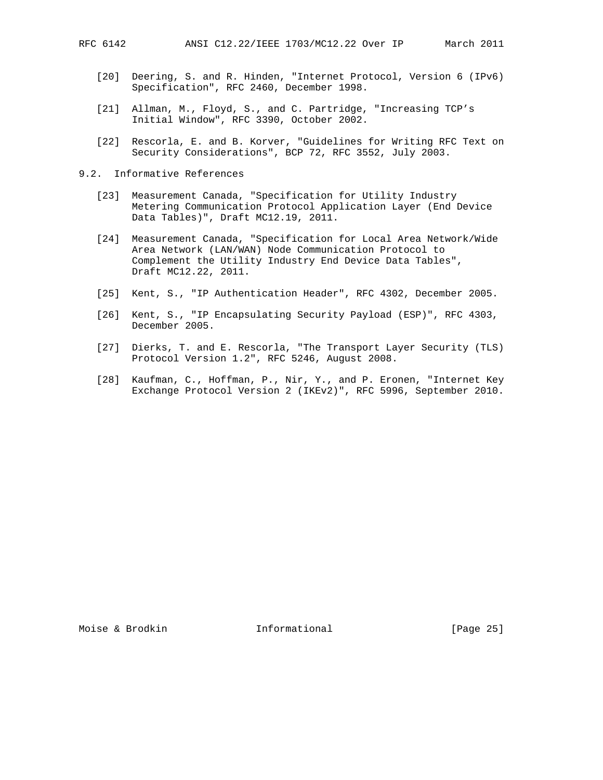- [20] Deering, S. and R. Hinden, "Internet Protocol, Version 6 (IPv6) Specification", RFC 2460, December 1998.
- [21] Allman, M., Floyd, S., and C. Partridge, "Increasing TCP's Initial Window", RFC 3390, October 2002.
- [22] Rescorla, E. and B. Korver, "Guidelines for Writing RFC Text on Security Considerations", BCP 72, RFC 3552, July 2003.
- 9.2. Informative References
	- [23] Measurement Canada, "Specification for Utility Industry Metering Communication Protocol Application Layer (End Device Data Tables)", Draft MC12.19, 2011.
	- [24] Measurement Canada, "Specification for Local Area Network/Wide Area Network (LAN/WAN) Node Communication Protocol to Complement the Utility Industry End Device Data Tables", Draft MC12.22, 2011.
	- [25] Kent, S., "IP Authentication Header", RFC 4302, December 2005.
	- [26] Kent, S., "IP Encapsulating Security Payload (ESP)", RFC 4303, December 2005.
	- [27] Dierks, T. and E. Rescorla, "The Transport Layer Security (TLS) Protocol Version 1.2", RFC 5246, August 2008.
	- [28] Kaufman, C., Hoffman, P., Nir, Y., and P. Eronen, "Internet Key Exchange Protocol Version 2 (IKEv2)", RFC 5996, September 2010.

Moise & Brodkin **Informational** [Page 25]